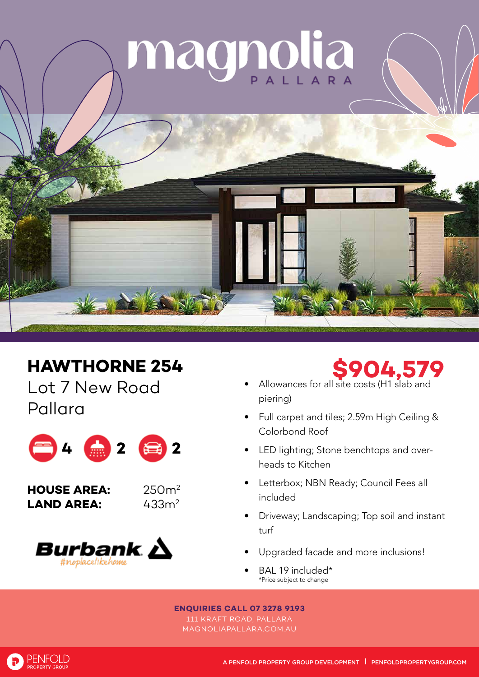

## **HAWTHORNE 254**

Lot 7 New Road Pallara









- Allowances for all site costs (H1 slab and piering)
- Full carpet and tiles; 2.59m High Ceiling & Colorbond Roof
- LED lighting; Stone benchtops and overheads to Kitchen
- Letterbox; NBN Ready; Council Fees all included
- Driveway; Landscaping; Top soil and instant turf
- Upgraded facade and more inclusions!
- BAL 19 included\* \*Price subject to change

## **ENQUIRIES CALL 07 3278 9193**